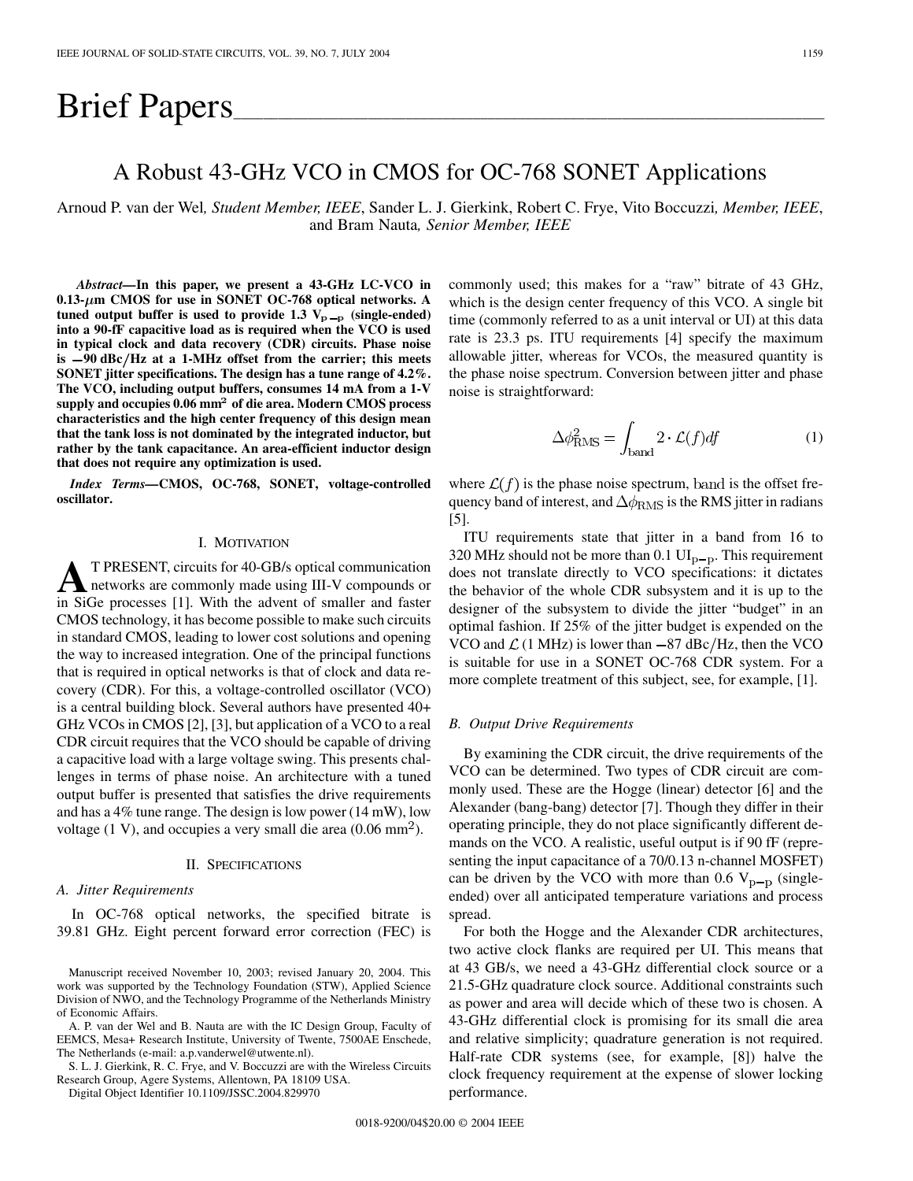# Brief Papers

# A Robust 43-GHz VCO in CMOS for OC-768 SONET Applications

Arnoud P. van der Wel*, Student Member, IEEE*, Sander L. J. Gierkink, Robert C. Frye, Vito Boccuzzi*, Member, IEEE*, and Bram Nauta*, Senior Member, IEEE*

*Abstract—***In this paper, we present a 43-GHz LC-VCO in 0.13- m CMOS for use in SONET OC-768 optical networks. A** tuned output buffer is used to provide 1.3  $V_{p-p}$  (single-ended) **into a 90-fF capacitive load as is required when the VCO is used in typical clock and data recovery (CDR) circuits. Phase noise is 90 dBc Hz at a 1-MHz offset from the carrier; this meets SONET jitter specifications. The design has a tune range of 4.2%. The VCO, including output buffers, consumes 14 mA from a 1-V supply and occupies 0.06 mm**<sup>2</sup> **of die area. Modern CMOS process characteristics and the high center frequency of this design mean that the tank loss is not dominated by the integrated inductor, but rather by the tank capacitance. An area-efficient inductor design that does not require any optimization is used.**

*Index Terms—***CMOS, OC-768, SONET, voltage-controlled oscillator.**

#### I. MOTIVATION

**A**T PRESENT, circuits for 40-GB/s optical communication<br>networks are commonly made using III-V compounds or<br>in SiGe precesses 111 With the educat of smaller and fector in SiGe processes [[1\]](#page-4-0). With the advent of smaller and faster CMOS technology, it has become possible to make such circuits in standard CMOS, leading to lower cost solutions and opening the way to increased integration. One of the principal functions that is required in optical networks is that of clock and data recovery (CDR). For this, a voltage-controlled oscillator (VCO) is a central building block. Several authors have presented 40+ GHz VCOs in CMOS [[2\]](#page-4-0), [\[3](#page-4-0)], but application of a VCO to a real CDR circuit requires that the VCO should be capable of driving a capacitive load with a large voltage swing. This presents challenges in terms of phase noise. An architecture with a tuned output buffer is presented that satisfies the drive requirements and has a 4% tune range. The design is low power (14 mW), low voltage  $(1 V)$ , and occupies a very small die area  $(0.06 \text{ mm}^2)$ .

### II. SPECIFICATIONS

# *A. Jitter Requirements*

In OC-768 optical networks, the specified bitrate is 39.81 GHz. Eight percent forward error correction (FEC) is

A. P. van der Wel and B. Nauta are with the IC Design Group, Faculty of EEMCS, Mesa+ Research Institute, University of Twente, 7500AE Enschede, The Netherlands (e-mail: a.p.vanderwel@utwente.nl).

S. L. J. Gierkink, R. C. Frye, and V. Boccuzzi are with the Wireless Circuits Research Group, Agere Systems, Allentown, PA 18109 USA.

Digital Object Identifier 10.1109/JSSC.2004.829970

commonly used; this makes for a "raw" bitrate of 43 GHz, which is the design center frequency of this VCO. A single bit time (commonly referred to as a unit interval or UI) at this data rate is 23.3 ps. ITU requirements [\[4](#page-4-0)] specify the maximum allowable jitter, whereas for VCOs, the measured quantity is the phase noise spectrum. Conversion between jitter and phase noise is straightforward:

$$
\Delta \phi_{\text{RMS}}^2 = \int_{\text{band}} 2 \cdot \mathcal{L}(f) df \tag{1}
$$

where  $\mathcal{L}(f)$  is the phase noise spectrum, band is the offset frequency band of interest, and  $\Delta\phi_{\rm RMS}$  is the RMS jitter in radians [\[5](#page-4-0)].

ITU requirements state that jitter in a band from 16 to 320 MHz should not be more than 0.1  $UI_{p-p}$ . This requirement does not translate directly to VCO specifications: it dictates the behavior of the whole CDR subsystem and it is up to the designer of the subsystem to divide the jitter "budget" in an optimal fashion. If 25% of the jitter budget is expended on the VCO and  $\mathcal{L}$  (1 MHz) is lower than  $-87$  dBc/Hz, then the VCO is suitable for use in a SONET OC-768 CDR system. For a more complete treatment of this subject, see, for example, [[1\]](#page-4-0).

# *B. Output Drive Requirements*

By examining the CDR circuit, the drive requirements of the VCO can be determined. Two types of CDR circuit are commonly used. These are the Hogge (linear) detector [\[6](#page-4-0)] and the Alexander (bang-bang) detector [[7\]](#page-4-0). Though they differ in their operating principle, they do not place significantly different demands on the VCO. A realistic, useful output is if 90 fF (representing the input capacitance of a 70/0.13 n-channel MOSFET) can be driven by the VCO with more than 0.6  $V_{\text{p-p}}$  (singleended) over all anticipated temperature variations and process spread.

For both the Hogge and the Alexander CDR architectures, two active clock flanks are required per UI. This means that at 43 GB/s, we need a 43-GHz differential clock source or a 21.5-GHz quadrature clock source. Additional constraints such as power and area will decide which of these two is chosen. A 43-GHz differential clock is promising for its small die area and relative simplicity; quadrature generation is not required. Half-rate CDR systems (see, for example, [[8\]](#page-4-0)) halve the clock frequency requirement at the expense of slower locking performance.

Manuscript received November 10, 2003; revised January 20, 2004. This work was supported by the Technology Foundation (STW), Applied Science Division of NWO, and the Technology Programme of the Netherlands Ministry of Economic Affairs.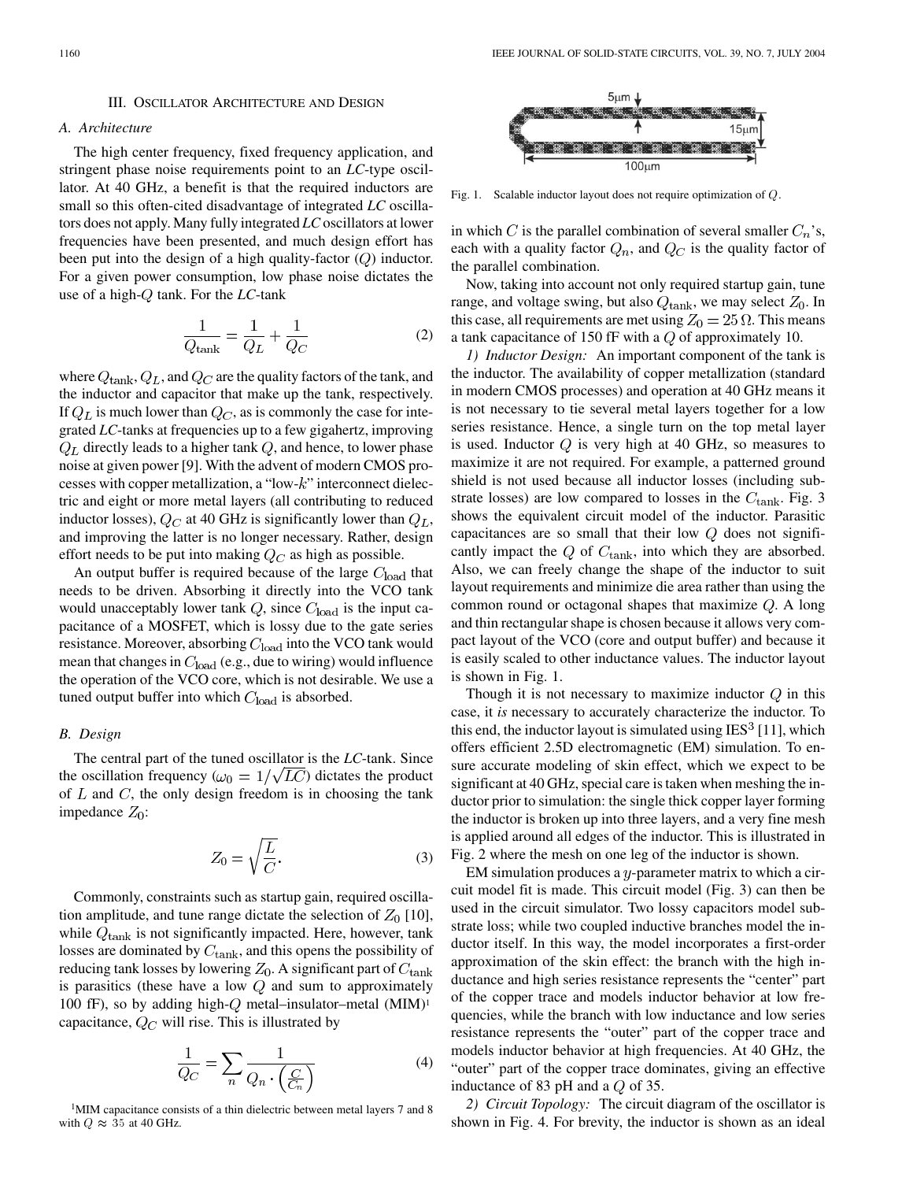#### III. OSCILLATOR ARCHITECTURE AND DESIGN

# *A. Architecture*

The high center frequency, fixed frequency application, and stringent phase noise requirements point to an *LC*-type oscillator. At 40 GHz, a benefit is that the required inductors are small so this often-cited disadvantage of integrated *LC* oscillators does not apply. Many fully integrated *LC* oscillators at lower frequencies have been presented, and much design effort has been put into the design of a high quality-factor  $(Q)$  inductor. For a given power consumption, low phase noise dictates the use of a high-Q tank. For the *LC*-tank

$$
\frac{1}{Q_{\text{tank}}} = \frac{1}{Q_L} + \frac{1}{Q_C} \tag{2}
$$

where  $Q_{\text{tank}}$ ,  $Q_L$ , and  $Q_C$  are the quality factors of the tank, and the inductor and capacitor that make up the tank, respectively. If  $Q_L$  is much lower than  $Q_C$ , as is commonly the case for integrated *LC*-tanks at frequencies up to a few gigahertz, improving  $Q_L$  directly leads to a higher tank  $Q$ , and hence, to lower phase noise at given power [\[9](#page-4-0)]. With the advent of modern CMOS processes with copper metallization, a "low- $k$ " interconnect dielectric and eight or more metal layers (all contributing to reduced inductor losses),  $Q_C$  at 40 GHz is significantly lower than  $Q_L$ , and improving the latter is no longer necessary. Rather, design effort needs to be put into making  $Q_C$  as high as possible.

An output buffer is required because of the large  $C_{load}$  that needs to be driven. Absorbing it directly into the VCO tank would unacceptably lower tank  $Q$ , since  $C_{load}$  is the input capacitance of a MOSFET, which is lossy due to the gate series resistance. Moreover, absorbing  $C_{load}$  into the VCO tank would mean that changes in  $C_{load}$  (e.g., due to wiring) would influence the operation of the VCO core, which is not desirable. We use a tuned output buffer into which  $C_{load}$  is absorbed.

# *B. Design*

The central part of the tuned oscillator is the *LC*-tank. Since the oscillation frequency ( $\omega_0 = 1/\sqrt{LC}$ ) dictates the product of  $L$  and  $C$ , the only design freedom is in choosing the tank impedance  $Z_0$ :

$$
Z_0 = \sqrt{\frac{L}{C}}.\t(3)
$$

Commonly, constraints such as startup gain, required oscillation amplitude, and tune range dictate the selection of  $Z_0$  [[10\]](#page-4-0), while  $Q<sub>tank</sub>$  is not significantly impacted. Here, however, tank losses are dominated by  $C_{\rm tank}$ , and this opens the possibility of reducing tank losses by lowering  $Z_0$ . A significant part of  $C_{\text{tank}}$ is parasitics (these have a low  $Q$  and sum to approximately 100 fF), so by adding high- $Q$  metal–insulator–metal (MIM)<sup>1</sup> capacitance,  $Q_C$  will rise. This is illustrated by

$$
\frac{1}{Q_C} = \sum_n \frac{1}{Q_n \cdot \left(\frac{C}{C_n}\right)}\tag{4}
$$

1MIM capacitance consists of a thin dielectric between metal layers 7 and 8 with  $Q \approx 35$  at 40 GHz.



Fig. 1. Scalable inductor layout does not require optimization of Q.

in which C is the parallel combination of several smaller  $C_n$ 's, each with a quality factor  $Q_n$ , and  $Q_C$  is the quality factor of the parallel combination.

Now, taking into account not only required startup gain, tune range, and voltage swing, but also  $Q<sub>tank</sub>$ , we may select  $Z<sub>0</sub>$ . In this case, all requirements are met using  $Z_0 = 25 \Omega$ . This means a tank capacitance of 150 fF with a  $Q$  of approximately 10.

*1) Inductor Design:* An important component of the tank is the inductor. The availability of copper metallization (standard in modern CMOS processes) and operation at 40 GHz means it is not necessary to tie several metal layers together for a low series resistance. Hence, a single turn on the top metal layer is used. Inductor  $Q$  is very high at 40 GHz, so measures to maximize it are not required. For example, a patterned ground shield is not used because all inductor losses (including substrate losses) are low compared to losses in the  $C_{\text{tank}}$ . Fig. 3 shows the equivalent circuit model of the inductor. Parasitic capacitances are so small that their low  $Q$  does not significantly impact the  $Q$  of  $C_{\text{tank}}$ , into which they are absorbed. Also, we can freely change the shape of the inductor to suit layout requirements and minimize die area rather than using the common round or octagonal shapes that maximize  $Q$ . A long and thin rectangular shape is chosen because it allows very compact layout of the VCO (core and output buffer) and because it is easily scaled to other inductance values. The inductor layout is shown in Fig. 1.

Though it is not necessary to maximize inductor  $Q$  in this case, it *is* necessary to accurately characterize the inductor. To this end, the inductor layout is simulated using  $IES^3$  [[11\]](#page-4-0), which offers efficient 2.5D electromagnetic (EM) simulation. To ensure accurate modeling of skin effect, which we expect to be significant at 40 GHz, special care is taken when meshing the inductor prior to simulation: the single thick copper layer forming the inductor is broken up into three layers, and a very fine mesh is applied around all edges of the inductor. This is illustrated in Fig. 2 where the mesh on one leg of the inductor is shown.

EM simulation produces a  $y$ -parameter matrix to which a circuit model fit is made. This circuit model (Fig. 3) can then be used in the circuit simulator. Two lossy capacitors model substrate loss; while two coupled inductive branches model the inductor itself. In this way, the model incorporates a first-order approximation of the skin effect: the branch with the high inductance and high series resistance represents the "center" part of the copper trace and models inductor behavior at low frequencies, while the branch with low inductance and low series resistance represents the "outer" part of the copper trace and models inductor behavior at high frequencies. At 40 GHz, the "outer" part of the copper trace dominates, giving an effective inductance of 83 pH and a  $Q$  of 35.

*2) Circuit Topology:* The circuit diagram of the oscillator is shown in Fig. 4. For brevity, the inductor is shown as an ideal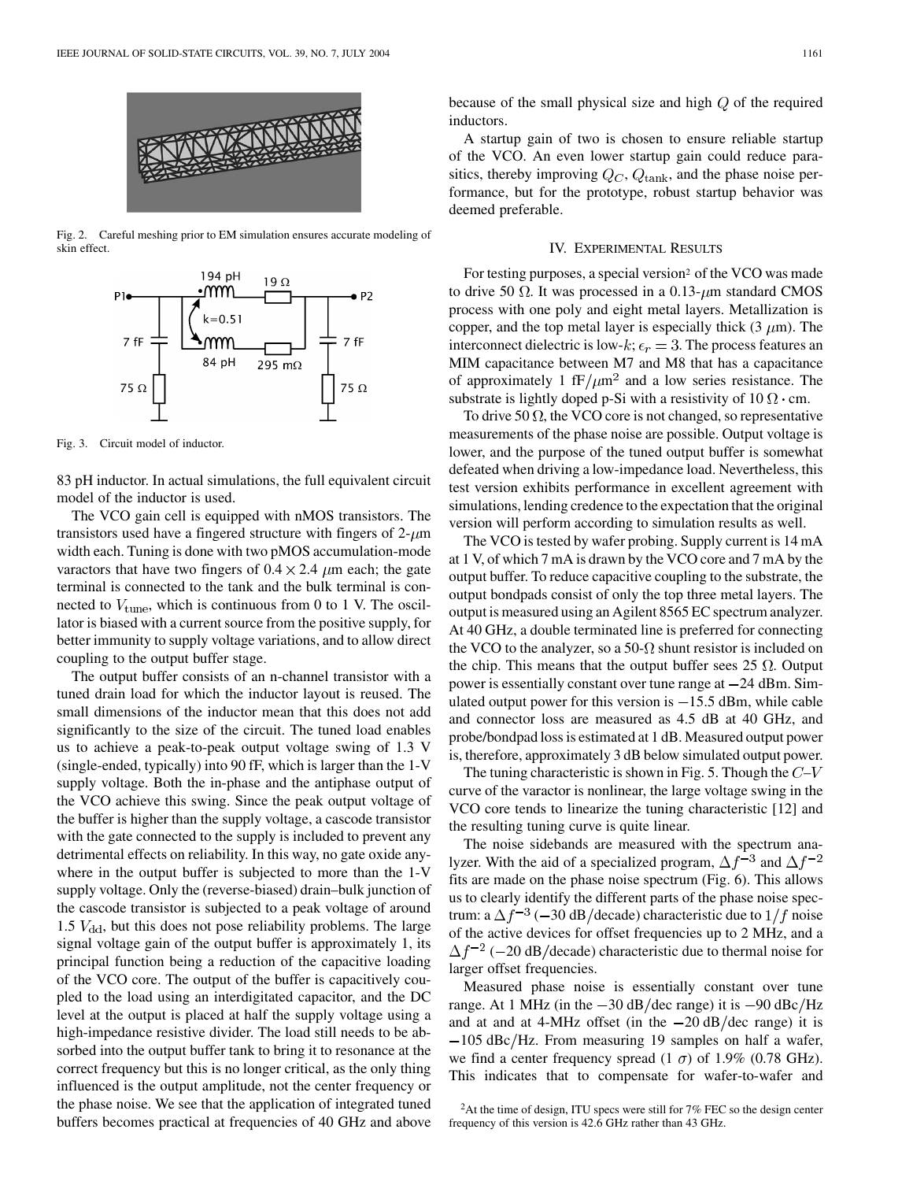

Fig. 2. Careful meshing prior to EM simulation ensures accurate modeling of skin effect.



Fig. 3. Circuit model of inductor.

83 pH inductor. In actual simulations, the full equivalent circuit model of the inductor is used.

The VCO gain cell is equipped with nMOS transistors. The transistors used have a fingered structure with fingers of  $2-\mu m$ width each. Tuning is done with two pMOS accumulation-mode varactors that have two fingers of  $0.4 \times 2.4 \mu m$  each; the gate terminal is connected to the tank and the bulk terminal is connected to  $V_{\text{tune}}$ , which is continuous from 0 to 1 V. The oscillator is biased with a current source from the positive supply, for better immunity to supply voltage variations, and to allow direct coupling to the output buffer stage.

The output buffer consists of an n-channel transistor with a tuned drain load for which the inductor layout is reused. The small dimensions of the inductor mean that this does not add significantly to the size of the circuit. The tuned load enables us to achieve a peak-to-peak output voltage swing of 1.3 V (single-ended, typically) into 90 fF, which is larger than the 1-V supply voltage. Both the in-phase and the antiphase output of the VCO achieve this swing. Since the peak output voltage of the buffer is higher than the supply voltage, a cascode transistor with the gate connected to the supply is included to prevent any detrimental effects on reliability. In this way, no gate oxide anywhere in the output buffer is subjected to more than the 1-V supply voltage. Only the (reverse-biased) drain–bulk junction of the cascode transistor is subjected to a peak voltage of around 1.5  $V_{\rm dd}$ , but this does not pose reliability problems. The large signal voltage gain of the output buffer is approximately 1, its principal function being a reduction of the capacitive loading of the VCO core. The output of the buffer is capacitively coupled to the load using an interdigitated capacitor, and the DC level at the output is placed at half the supply voltage using a high-impedance resistive divider. The load still needs to be absorbed into the output buffer tank to bring it to resonance at the correct frequency but this is no longer critical, as the only thing influenced is the output amplitude, not the center frequency or the phase noise. We see that the application of integrated tuned buffers becomes practical at frequencies of 40 GHz and above because of the small physical size and high  $Q$  of the required inductors.

A startup gain of two is chosen to ensure reliable startup of the VCO. An even lower startup gain could reduce parasitics, thereby improving  $Q_C$ ,  $Q_{\text{tank}}$ , and the phase noise performance, but for the prototype, robust startup behavior was deemed preferable.

### IV. EXPERIMENTAL RESULTS

For testing purposes, a special version<sup>2</sup> of the VCO was made to drive 50  $\Omega$ . It was processed in a 0.13- $\mu$ m standard CMOS process with one poly and eight metal layers. Metallization is copper, and the top metal layer is especially thick  $(3 \mu m)$ . The interconnect dielectric is low-k;  $\epsilon_r = 3$ . The process features an MIM capacitance between M7 and M8 that has a capacitance of approximately 1 fF/ $\mu$ m<sup>2</sup> and a low series resistance. The substrate is lightly doped p-Si with a resistivity of  $10 \Omega \cdot cm$ .

To drive 50  $\Omega$ , the VCO core is not changed, so representative measurements of the phase noise are possible. Output voltage is lower, and the purpose of the tuned output buffer is somewhat defeated when driving a low-impedance load. Nevertheless, this test version exhibits performance in excellent agreement with simulations, lending credence to the expectation that the original version will perform according to simulation results as well.

The VCO is tested by wafer probing. Supply current is 14 mA at 1 V, of which 7 mA is drawn by the VCO core and 7 mA by the output buffer. To reduce capacitive coupling to the substrate, the output bondpads consist of only the top three metal layers. The output is measured using an Agilent 8565 EC spectrum analyzer. At 40 GHz, a double terminated line is preferred for connecting the VCO to the analyzer, so a 50- $\Omega$  shunt resistor is included on the chip. This means that the output buffer sees 25  $\Omega$ . Output power is essentially constant over tune range at  $-24$  dBm. Simulated output power for this version is  $-15.5$  dBm, while cable and connector loss are measured as 4.5 dB at 40 GHz, and probe/bondpad loss is estimated at 1 dB. Measured output power is, therefore, approximately 3 dB below simulated output power.

The tuning characteristic is shown in Fig. 5. Though the  $C-V$ curve of the varactor is nonlinear, the large voltage swing in the VCO core tends to linearize the tuning characteristic [\[12](#page-4-0)] and the resulting tuning curve is quite linear.

The noise sidebands are measured with the spectrum analyzer. With the aid of a specialized program,  $\Delta f^{-3}$  and  $\Delta f^{-2}$ fits are made on the phase noise spectrum (Fig. 6). This allows us to clearly identify the different parts of the phase noise spectrum: a  $\Delta f^{-3}$  (-30 dB/decade) characteristic due to  $1/f$  noise of the active devices for offset frequencies up to 2 MHz, and a  $\Delta f^{-2}$  (-20 dB/decade) characteristic due to thermal noise for larger offset frequencies.

Measured phase noise is essentially constant over tune range. At 1 MHz (in the  $-30$  dB/dec range) it is  $-90$  dBc/Hz and at and at 4-MHz offset (in the  $-20 \text{ dB}/\text{dec}$  range) it is  $-105$  dBc/Hz. From measuring 19 samples on half a wafer, we find a center frequency spread  $(1 \sigma)$  of 1.9% (0.78 GHz). This indicates that to compensate for wafer-to-wafer and

<sup>2</sup>At the time of design, ITU specs were still for 7% FEC so the design center frequency of this version is 42.6 GHz rather than 43 GHz.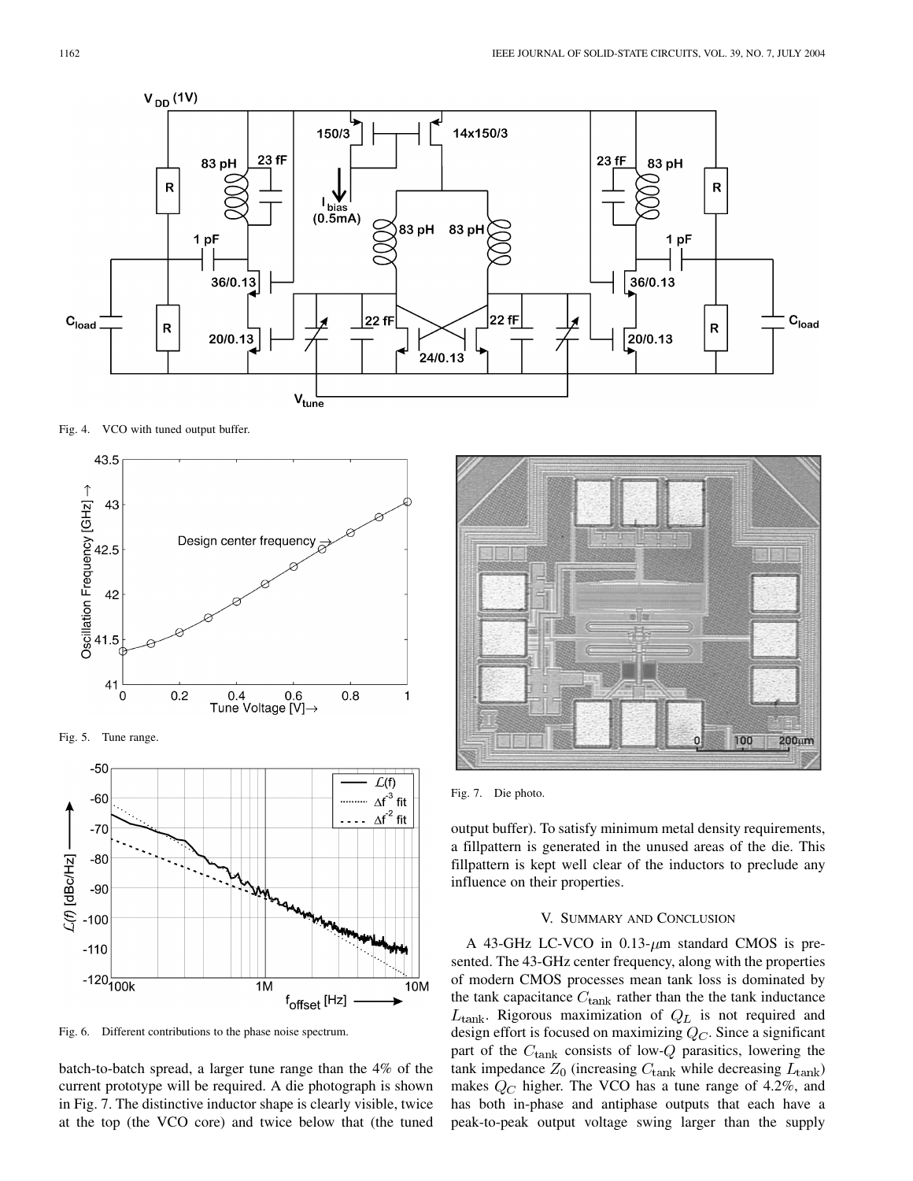

Fig. 4. VCO with tuned output buffer.



Fig. 6. Different contributions to the phase noise spectrum.

batch-to-batch spread, a larger tune range than the 4% of the current prototype will be required. A die photograph is shown in Fig. 7. The distinctive inductor shape is clearly visible, twice at the top (the VCO core) and twice below that (the tuned



Fig. 7. Die photo.

output buffer). To satisfy minimum metal density requirements, a fillpattern is generated in the unused areas of the die. This fillpattern is kept well clear of the inductors to preclude any influence on their properties.

# V. SUMMARY AND CONCLUSION

A 43-GHz LC-VCO in  $0.13$ - $\mu$ m standard CMOS is presented. The 43-GHz center frequency, along with the properties of modern CMOS processes mean tank loss is dominated by the tank capacitance  $C_{\text{tank}}$  rather than the the tank inductance  $L_{\text{tank}}$ . Rigorous maximization of  $Q_L$  is not required and design effort is focused on maximizing  $Q_C$ . Since a significant part of the  $C_{\text{tank}}$  consists of low-Q parasitics, lowering the tank impedance  $Z_0$  (increasing  $C_{\text{tank}}$  while decreasing  $L_{\text{tank}}$ ) makes  $Q_C$  higher. The VCO has a tune range of 4.2%, and has both in-phase and antiphase outputs that each have a peak-to-peak output voltage swing larger than the supply